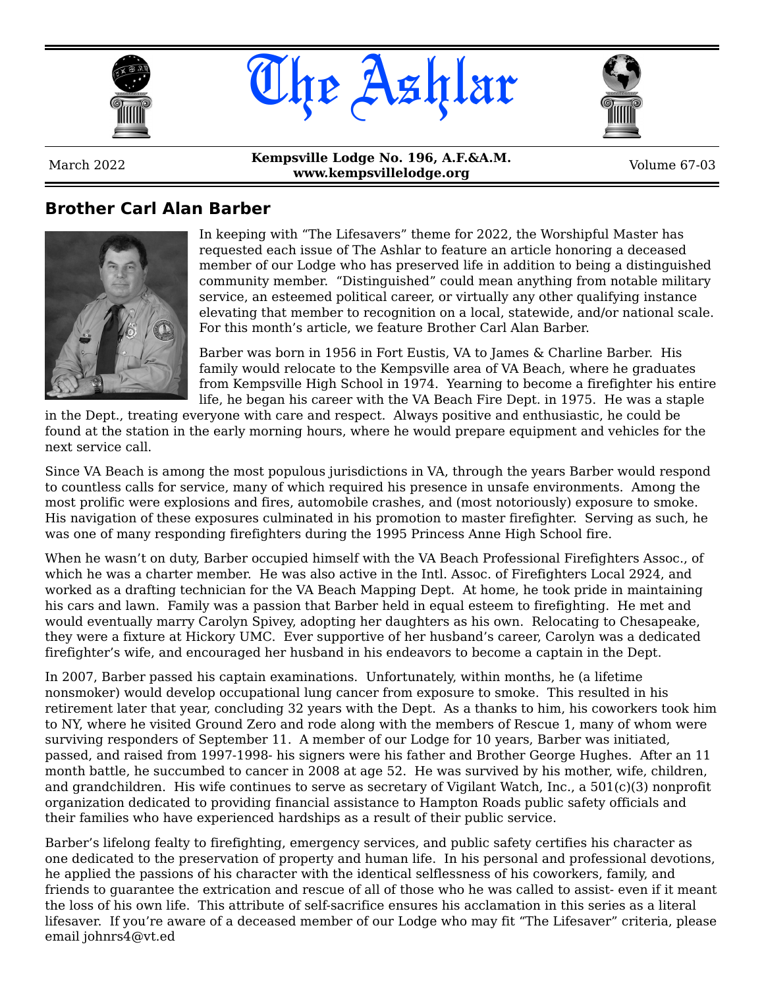





March 2022 **Kempsville Lodge No. 196, A.F.&A.M. www.kempsvillelodge.org**<br>**www.kempsvillelodge.org** Volume 67-03

#### **Brother Carl Alan Barber**



In keeping with "The Lifesavers" theme for 2022, the Worshipful Master has requested each issue of The Ashlar to feature an article honoring a deceased member of our Lodge who has preserved life in addition to being a distinguished community member. "Distinguished" could mean anything from notable military service, an esteemed political career, or virtually any other qualifying instance elevating that member to recognition on a local, statewide, and/or national scale. For this month's article, we feature Brother Carl Alan Barber.

Barber was born in 1956 in Fort Eustis, VA to James & Charline Barber. His family would relocate to the Kempsville area of VA Beach, where he graduates from Kempsville High School in 1974. Yearning to become a firefighter his entire life, he began his career with the VA Beach Fire Dept. in 1975. He was a staple

in the Dept., treating everyone with care and respect. Always positive and enthusiastic, he could be found at the station in the early morning hours, where he would prepare equipment and vehicles for the next service call.

Since VA Beach is among the most populous jurisdictions in VA, through the years Barber would respond to countless calls for service, many of which required his presence in unsafe environments. Among the most prolific were explosions and fires, automobile crashes, and (most notoriously) exposure to smoke. His navigation of these exposures culminated in his promotion to master firefighter. Serving as such, he was one of many responding firefighters during the 1995 Princess Anne High School fire.

When he wasn't on duty, Barber occupied himself with the VA Beach Professional Firefighters Assoc., of which he was a charter member. He was also active in the Intl. Assoc. of Firefighters Local 2924, and worked as a drafting technician for the VA Beach Mapping Dept. At home, he took pride in maintaining his cars and lawn. Family was a passion that Barber held in equal esteem to firefighting. He met and would eventually marry Carolyn Spivey, adopting her daughters as his own. Relocating to Chesapeake, they were a fixture at Hickory UMC. Ever supportive of her husband's career, Carolyn was a dedicated firefighter's wife, and encouraged her husband in his endeavors to become a captain in the Dept.

In 2007, Barber passed his captain examinations. Unfortunately, within months, he (a lifetime nonsmoker) would develop occupational lung cancer from exposure to smoke. This resulted in his retirement later that year, concluding 32 years with the Dept. As a thanks to him, his coworkers took him to NY, where he visited Ground Zero and rode along with the members of Rescue 1, many of whom were surviving responders of September 11. A member of our Lodge for 10 years, Barber was initiated, passed, and raised from 1997-1998- his signers were his father and Brother George Hughes. After an 11 month battle, he succumbed to cancer in 2008 at age 52. He was survived by his mother, wife, children, and grandchildren. His wife continues to serve as secretary of Vigilant Watch, Inc., a 501(c)(3) nonprofit organization dedicated to providing financial assistance to Hampton Roads public safety officials and their families who have experienced hardships as a result of their public service.

Barber's lifelong fealty to firefighting, emergency services, and public safety certifies his character as one dedicated to the preservation of property and human life. In his personal and professional devotions, he applied the passions of his character with the identical selflessness of his coworkers, family, and friends to guarantee the extrication and rescue of all of those who he was called to assist- even if it meant the loss of his own life. This attribute of self-sacrifice ensures his acclamation in this series as a literal lifesaver. If you're aware of a deceased member of our Lodge who may fit "The Lifesaver" criteria, please email johnrs4@vt.ed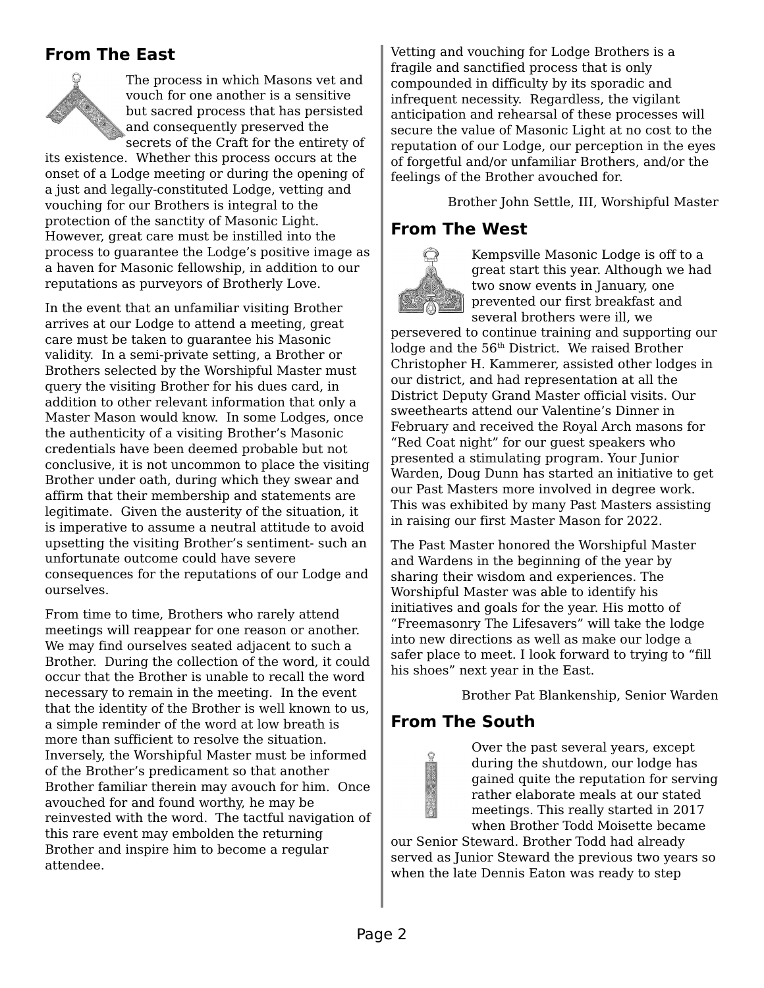### **From The East**



The process in which Masons vet and vouch for one another is a sensitive but sacred process that has persisted and consequently preserved the secrets of the Craft for the entirety of

its existence. Whether this process occurs at the onset of a Lodge meeting or during the opening of a just and legally-constituted Lodge, vetting and vouching for our Brothers is integral to the protection of the sanctity of Masonic Light. However, great care must be instilled into the process to guarantee the Lodge's positive image as a haven for Masonic fellowship, in addition to our reputations as purveyors of Brotherly Love.

In the event that an unfamiliar visiting Brother arrives at our Lodge to attend a meeting, great care must be taken to guarantee his Masonic validity. In a semi-private setting, a Brother or Brothers selected by the Worshipful Master must query the visiting Brother for his dues card, in addition to other relevant information that only a Master Mason would know. In some Lodges, once the authenticity of a visiting Brother's Masonic credentials have been deemed probable but not conclusive, it is not uncommon to place the visiting Brother under oath, during which they swear and affirm that their membership and statements are legitimate. Given the austerity of the situation, it is imperative to assume a neutral attitude to avoid upsetting the visiting Brother's sentiment- such an unfortunate outcome could have severe consequences for the reputations of our Lodge and ourselves.

From time to time, Brothers who rarely attend meetings will reappear for one reason or another. We may find ourselves seated adjacent to such a Brother. During the collection of the word, it could occur that the Brother is unable to recall the word necessary to remain in the meeting. In the event that the identity of the Brother is well known to us, a simple reminder of the word at low breath is more than sufficient to resolve the situation. Inversely, the Worshipful Master must be informed of the Brother's predicament so that another Brother familiar therein may avouch for him. Once avouched for and found worthy, he may be reinvested with the word. The tactful navigation of this rare event may embolden the returning Brother and inspire him to become a regular attendee.

Vetting and vouching for Lodge Brothers is a fragile and sanctified process that is only compounded in difficulty by its sporadic and infrequent necessity. Regardless, the vigilant anticipation and rehearsal of these processes will secure the value of Masonic Light at no cost to the reputation of our Lodge, our perception in the eyes of forgetful and/or unfamiliar Brothers, and/or the feelings of the Brother avouched for.

Brother John Settle, III, Worshipful Master

### **From The West**



Kempsville Masonic Lodge is off to a great start this year. Although we had two snow events in January, one prevented our first breakfast and several brothers were ill, we

persevered to continue training and supporting our lodge and the 56<sup>th</sup> District. We raised Brother Christopher H. Kammerer, assisted other lodges in our district, and had representation at all the District Deputy Grand Master official visits. Our sweethearts attend our Valentine's Dinner in February and received the Royal Arch masons for "Red Coat night" for our guest speakers who presented a stimulating program. Your Junior Warden, Doug Dunn has started an initiative to get our Past Masters more involved in degree work. This was exhibited by many Past Masters assisting in raising our first Master Mason for 2022.

The Past Master honored the Worshipful Master and Wardens in the beginning of the year by sharing their wisdom and experiences. The Worshipful Master was able to identify his initiatives and goals for the year. His motto of "Freemasonry The Lifesavers" will take the lodge into new directions as well as make our lodge a safer place to meet. I look forward to trying to "fill his shoes" next year in the East.

Brother Pat Blankenship, Senior Warden

## **From The South**

Over the past several years, except during the shutdown, our lodge has gained quite the reputation for serving rather elaborate meals at our stated meetings. This really started in 2017 when Brother Todd Moisette became

our Senior Steward. Brother Todd had already served as Junior Steward the previous two years so when the late Dennis Eaton was ready to step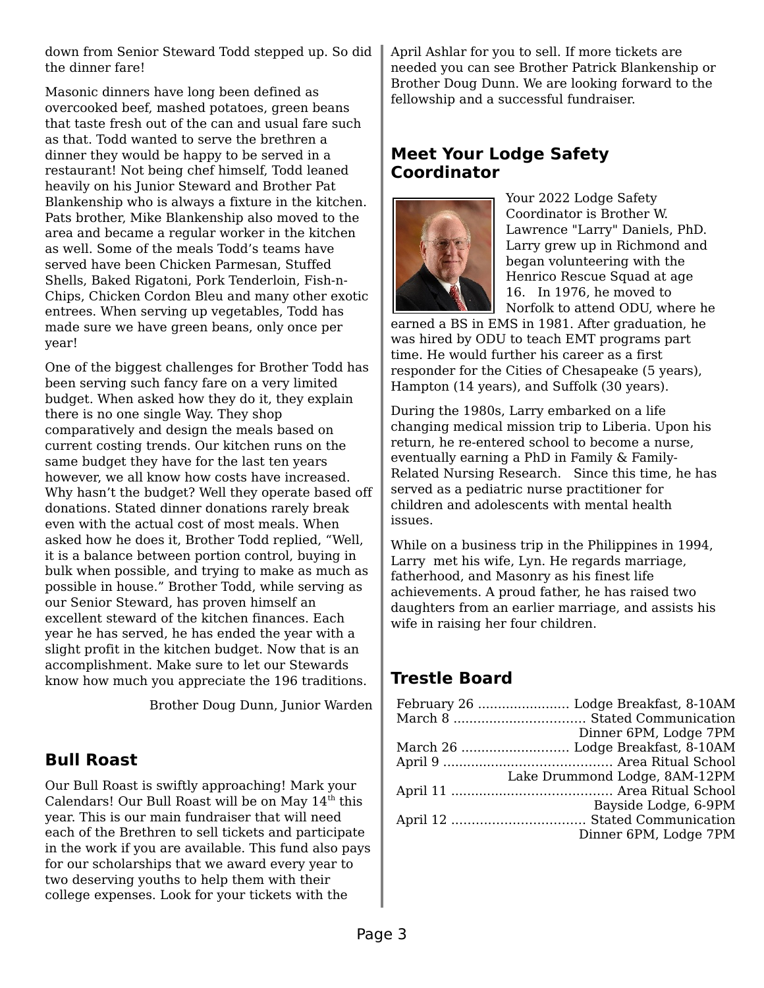down from Senior Steward Todd stepped up. So did the dinner fare!

Masonic dinners have long been defined as overcooked beef, mashed potatoes, green beans that taste fresh out of the can and usual fare such as that. Todd wanted to serve the brethren a dinner they would be happy to be served in a restaurant! Not being chef himself, Todd leaned heavily on his Junior Steward and Brother Pat Blankenship who is always a fixture in the kitchen. Pats brother, Mike Blankenship also moved to the area and became a regular worker in the kitchen as well. Some of the meals Todd's teams have served have been Chicken Parmesan, Stuffed Shells, Baked Rigatoni, Pork Tenderloin, Fish-n-Chips, Chicken Cordon Bleu and many other exotic entrees. When serving up vegetables, Todd has made sure we have green beans, only once per year!

One of the biggest challenges for Brother Todd has been serving such fancy fare on a very limited budget. When asked how they do it, they explain there is no one single Way. They shop comparatively and design the meals based on current costing trends. Our kitchen runs on the same budget they have for the last ten years however, we all know how costs have increased. Why hasn't the budget? Well they operate based off donations. Stated dinner donations rarely break even with the actual cost of most meals. When asked how he does it, Brother Todd replied, "Well, it is a balance between portion control, buying in bulk when possible, and trying to make as much as possible in house." Brother Todd, while serving as our Senior Steward, has proven himself an excellent steward of the kitchen finances. Each year he has served, he has ended the year with a slight profit in the kitchen budget. Now that is an accomplishment. Make sure to let our Stewards know how much you appreciate the 196 traditions.

Brother Doug Dunn, Junior Warden

## **Bull Roast**

Our Bull Roast is swiftly approaching! Mark your Calendars! Our Bull Roast will be on May  $14<sup>th</sup>$  this year. This is our main fundraiser that will need each of the Brethren to sell tickets and participate in the work if you are available. This fund also pays for our scholarships that we award every year to two deserving youths to help them with their college expenses. Look for your tickets with the

April Ashlar for you to sell. If more tickets are needed you can see Brother Patrick Blankenship or Brother Doug Dunn. We are looking forward to the fellowship and a successful fundraiser.

### **Meet Your Lodge Safety Coordinator**



Your 2022 Lodge Safety Coordinator is Brother W. Lawrence "Larry" Daniels, PhD. Larry grew up in Richmond and began volunteering with the Henrico Rescue Squad at age 16. In 1976, he moved to Norfolk to attend ODU, where he

earned a BS in EMS in 1981. After graduation, he was hired by ODU to teach EMT programs part time. He would further his career as a first responder for the Cities of Chesapeake (5 years), Hampton (14 years), and Suffolk (30 years).

During the 1980s, Larry embarked on a life changing medical mission trip to Liberia. Upon his return, he re-entered school to become a nurse, eventually earning a PhD in Family & Family-Related Nursing Research. Since this time, he has served as a pediatric nurse practitioner for children and adolescents with mental health issues.

While on a business trip in the Philippines in 1994, Larry met his wife, Lyn. He regards marriage, fatherhood, and Masonry as his finest life achievements. A proud father, he has raised two daughters from an earlier marriage, and assists his wife in raising her four children.

# **Trestle Board**

| Dinner 6PM, Lodge 7PM         |
|-------------------------------|
|                               |
|                               |
| Lake Drummond Lodge, 8AM-12PM |
|                               |
| Bayside Lodge, 6-9PM          |
|                               |
| Dinner 6PM, Lodge 7PM         |